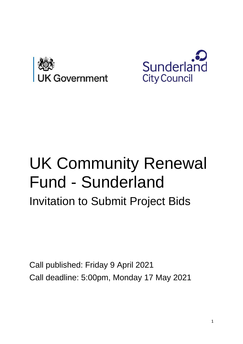



# UK Community Renewal Fund - Sunderland Invitation to Submit Project Bids

Call published: Friday 9 April 2021 Call deadline: 5:00pm, Monday 17 May 2021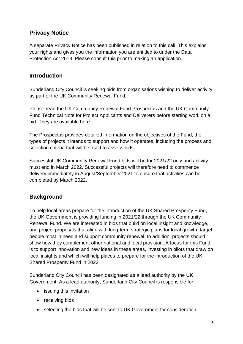# **Privacy Notice**

A separate Privacy Notice has been published in relation to this call. This explains your rights and gives you the information you are entitled to under the Data Protection Act 2018. Please consult this prior to making an application.

#### **Introduction**

Sunderland City Council is seeking bids from organisations wishing to deliver activity as part of the UK Community Renewal Fund.

Please read the UK Community Renewal Fund Prospectus and the UK Community Fund Technical Note for Project Applicants and Deliverers before starting work on a bid. They are available [here.](https://www.gov.uk/government/publications/uk-community-renewal-fund-prospectus)

The Prospectus provides detailed information on the objectives of the Fund, the types of projects it intends to support and how it operates, including the process and selection criteria that will be used to assess bids.

Successful UK Community Renewal Fund bids will be for 2021/22 only and activity must end in March 2022. Successful projects will therefore need to commence delivery immediately in August/September 2021 to ensure that activities can be completed by March 2022.

# **Background**

To help local areas prepare for the introduction of the UK Shared Prosperity Fund, the UK Government is providing funding in 2021/22 through the UK Community Renewal Fund. We are interested in bids that build on local insight and knowledge, and project proposals that align with long-term strategic plans for local growth, target people most in need and support community renewal. In addition, projects should show how they complement other national and local provision. A focus for this Fund is to support innovation and new ideas in these areas, investing in pilots that draw on local insights and which will help places to prepare for the introduction of the UK Shared Prosperity Fund in 2022.

Sunderland City Council has been designated as a lead authority by the UK Government. As a lead authority, Sunderland City Council is responsible for:

- issuing this invitation
- receiving bids
- selecting the bids that will be sent to UK Government for consideration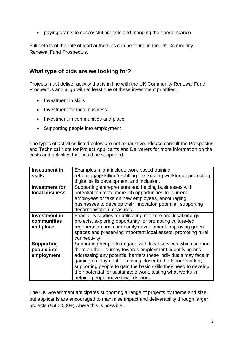• paying grants to successful projects and manging their performance

Full details of the role of lead authorities can be found in the UK Community Renewal Fund Prospectus.

#### **What type of bids are we looking for?**

Projects must deliver activity that is in line with the UK Community Renewal Fund Prospectus and align with at least one of these investment priorities:

- Investment in skills
- Investment for local business
- Investment in communities and place
- Supporting people into employment

The types of activities listed below are not exhaustive. Please consult the Prospectus and Technical Note for Project Applicants and Deliverers for more information on the costs and activities that could be supported.

| <b>Investment in</b>  | Examples might include work-based training,                        |
|-----------------------|--------------------------------------------------------------------|
| skills                | retraining/upskilling/reskilling the existing workforce, promoting |
|                       | digital skills development and inclusion.                          |
| <b>Investment for</b> | Supporting entrepreneurs and helping businesses with               |
| local business        | potential to create more job opportunities for current             |
|                       | employees or take on new employees, encouraging                    |
|                       | businesses to develop their innovation potential, supporting       |
|                       | decarbonisation measures.                                          |
| <b>Investment in</b>  | Feasibility studies for delivering net-zero and local energy       |
| communities           | projects, exploring opportunity for promoting culture-led          |
| and place             | regeneration and community development, improving green            |
|                       | spaces and preserving important local assets, promoting rural      |
|                       | connectivity.                                                      |
| <b>Supporting</b>     | Supporting people to engage with local services which support      |
| people into           | them on their journey towards employment, identifying and          |
| employment            | addressing any potential barriers these individuals may face in    |
|                       | gaining employment or moving closer to the labour market,          |
|                       | supporting people to gain the basic skills they need to develop    |
|                       | their potential for sustainable work, testing what works in        |
|                       | helping people move towards work.                                  |
|                       |                                                                    |

The UK Government anticipates supporting a range of projects by theme and size, but applicants are encouraged to maximise impact and deliverability through larger projects (£500,000+) where this is possible.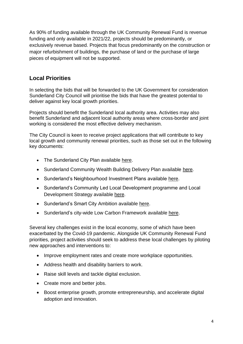As 90% of funding available through the UK Community Renewal Fund is revenue funding and only available in 2021/22, projects should be predominantly, or exclusively revenue based. Projects that focus predominantly on the construction or major refurbishment of buildings, the purchase of land or the purchase of large pieces of equipment will not be supported.

# **Local Priorities**

In selecting the bids that will be forwarded to the UK Government for consideration Sunderland City Council will prioritise the bids that have the greatest potential to deliver against key local growth priorities.

Projects should benefit the Sunderland local authority area. Activities may also benefit Sunderland and adjacent local authority areas where cross-border and joint working is considered the most effective delivery mechanism.

The City Council is keen to receive project applications that will contribute to key local growth and community renewal priorities, such as those set out in the following key documents:

- The Sunderland City Plan available [here.](https://www.sunderland.gov.uk/city-plan#:~:text=The%20City%20Plan%2C%20approved%20by,opportunities%20for%20all%20our%20residents.)
- Sunderland Community Wealth Building Delivery Plan available [here.](https://www.sunderland.gov.uk/article/18231/Community-Wealth-Building)
- Sunderland's Neighbourhood Investment Plans available [here.](https://www.sunderland.gov.uk/Neighbourhood-Investment-Plans#:~:text=The%20plans%20have%20been%20developed,Cabinet%20on%2024%20March%202020.)
- Sunderland's Community Led Local Development programme and Local Development Strategy available [here.](https://www.sunderland.gov.uk/article/14307/Community-Led-Local-Development)
- Sunderland's Smart City Ambition available [here.](https://www.sunderlandoursmartcity.com/)
- Sunderland's city-wide Low Carbon Framework available [here.](https://www.sunderland.gov.uk/lowcarbon#:~:text=Sunderland%20Low%20Carbon%20Framework%20%5B2.76,city%20carbon%20neutral%20by%202040.&text=The%20city%20council%27s%20Sunderland%20Low,be%20carbon%20neutral%20by%202030.)

Several key challenges exist in the local economy, some of which have been exacerbated by the Covid-19 pandemic. Alongside UK Community Renewal Fund priorities, project activities should seek to address these local challenges by piloting new approaches and interventions to:

- Improve employment rates and create more workplace opportunities.
- Address health and disability barriers to work.
- Raise skill levels and tackle digital exclusion.
- Create more and better jobs.
- Boost enterprise growth, promote entrepreneurship, and accelerate digital adoption and innovation.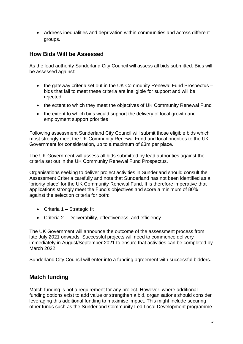• Address inequalities and deprivation within communities and across different groups.

#### **How Bids Will be Assessed**

As the lead authority Sunderland City Council will assess all bids submitted. Bids will be assessed against:

- the gateway criteria set out in the UK Community Renewal Fund Prospectus bids that fail to meet these criteria are ineligible for support and will be rejected
- the extent to which they meet the objectives of UK Community Renewal Fund
- the extent to which bids would support the delivery of local growth and employment support priorities

Following assessment Sunderland City Council will submit those eligible bids which most strongly meet the UK Community Renewal Fund and local priorities to the UK Government for consideration, up to a maximum of £3m per place.

The UK Government will assess all bids submitted by lead authorities against the criteria set out in the UK Community Renewal Fund Prospectus.

Organisations seeking to deliver project activities in Sunderland should consult the Assessment Criteria carefully and note that Sunderland has not been identified as a 'priority place' for the UK Community Renewal Fund. It is therefore imperative that applications strongly meet the Fund's objectives and score a minimum of 80% against the selection criteria for both:

- Criteria 1 Strategic fit
- Criteria 2 Deliverability, effectiveness, and efficiency

The UK Government will announce the outcome of the assessment process from late July 2021 onwards. Successful projects will need to commence delivery immediately in August/September 2021 to ensure that activities can be completed by March 2022.

Sunderland City Council will enter into a funding agreement with successful bidders.

#### **Match funding**

Match funding is not a requirement for any project. However, where additional funding options exist to add value or strengthen a bid, organisations should consider leveraging this additional funding to maximise impact. This might include securing other funds such as the Sunderland Community Led Local Development programme